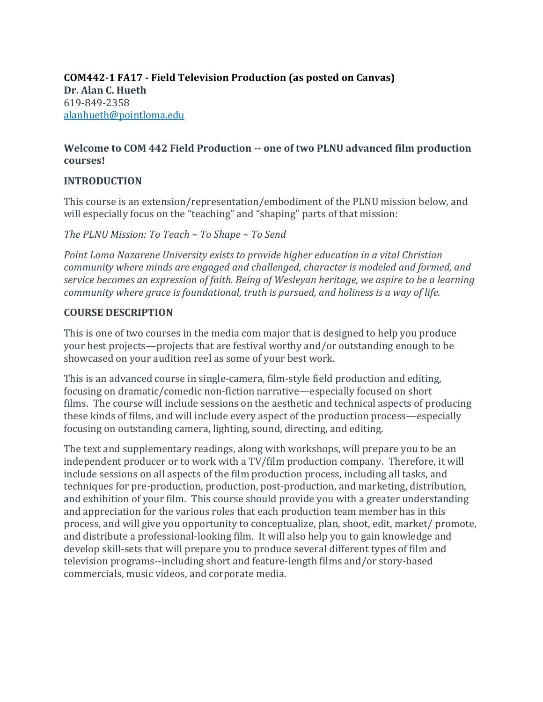### **COM442-1 FA17 - Field Television Production (as posted on Canvas) Dr. Alan C. Hueth** 619-849-2358 [alanhueth@pointloma.edu](mailto:alanhueth@pointloma.edu)

### **Welcome to COM 442 Field Production -- one of two PLNU advanced film production courses!**

### **INTRODUCTION**

This course is an extension/representation/embodiment of the PLNU mission below, and will especially focus on the "teaching" and "shaping" parts of that mission:

*The PLNU Mission: To Teach ~ To Shape ~ To Send*

*Point Loma Nazarene University exists to provide higher education in a vital Christian community where minds are engaged and challenged, character is modeled and formed, and service becomes an expression of faith. Being of Wesleyan heritage, we aspire to be a learning community where grace is foundational, truth is pursued, and holiness is a way of life.*

### **COURSE DESCRIPTION**

This is one of two courses in the media com major that is designed to help you produce your best projects—projects that are festival worthy and/or outstanding enough to be showcased on your audition reel as some of your best work.

This is an advanced course in single-camera, film-style field production and editing, focusing on dramatic/comedic non-fiction narrative—especially focused on short films. The course will include sessions on the aesthetic and technical aspects of producing these kinds of films, and will include every aspect of the production process—especially focusing on outstanding camera, lighting, sound, directing, and editing.

The text and supplementary readings, along with workshops, will prepare you to be an independent producer or to work with a TV/film production company. Therefore, it will include sessions on all aspects of the film production process, including all tasks, and techniques for pre-production, production, post-production, and marketing, distribution, and exhibition of your film. This course should provide you with a greater understanding and appreciation for the various roles that each production team member has in this process, and will give you opportunity to conceptualize, plan, shoot, edit, market/ promote, and distribute a professional-looking film. It will also help you to gain knowledge and develop skill-sets that will prepare you to produce several different types of film and television programs--including short and feature-length films and/or story-based commercials, music videos, and corporate media.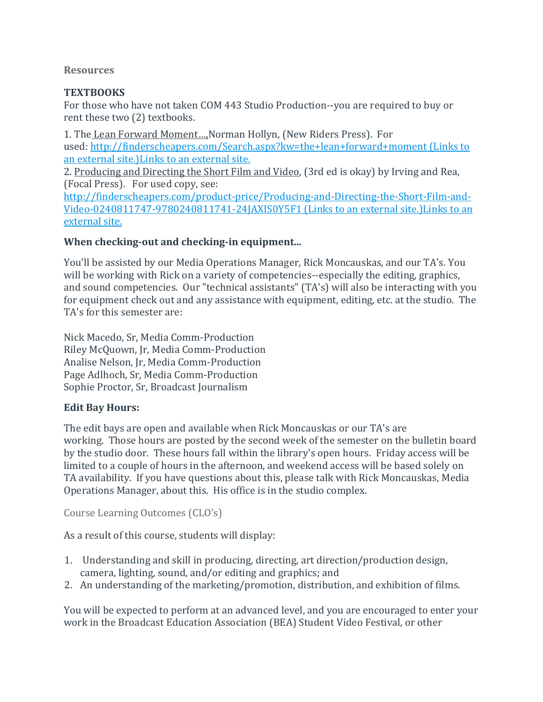#### **Resources**

## **TEXTBOOKS**

For those who have not taken COM 443 Studio Production--you are required to buy or rent these two (2) textbooks.

1. The Lean Forward Moment..., Norman Hollyn, (New Riders Press). For used: <http://finderscheapers.com/Search.aspx?kw=the+lean+forward+moment> (Links to an external [site.\)Links](http://finderscheapers.com/Search.aspx?kw=the+lean+forward+moment) to an external site.

2. Producing and Directing the Short Film and Video, (3rd ed is okay) by Irving and Rea, (Focal Press). For used copy, see:

[http://finderscheapers.com/product-price/Producing-and-Directing-the-Short-Film-and-](http://finderscheapers.com/product-price/Producing-and-Directing-the-Short-Film-and-Video-0240811747-9780240811741-24JAXIS0Y5F1)[Video-0240811747-9780240811741-24JAXIS0Y5F1](http://finderscheapers.com/product-price/Producing-and-Directing-the-Short-Film-and-Video-0240811747-9780240811741-24JAXIS0Y5F1) (Links to an external site.)Links to an [external](http://finderscheapers.com/product-price/Producing-and-Directing-the-Short-Film-and-Video-0240811747-9780240811741-24JAXIS0Y5F1) site.

### **When checking-out and checking-in equipment...**

You'll be assisted by our Media Operations Manager, Rick Moncauskas, and our TA's. You will be working with Rick on a variety of competencies--especially the editing, graphics, and sound competencies. Our "technical assistants" (TA's) will also be interacting with you for equipment check out and any assistance with equipment, editing, etc. at the studio. The TA's for this semester are:

Nick Macedo, Sr, Media Comm-Production Riley McQuown, Jr, Media Comm-Production Analise Nelson, Jr, Media Comm-Production Page Adlhoch, Sr, Media Comm-Production Sophie Proctor, Sr, Broadcast Journalism

### **Edit Bay Hours:**

The edit bays are open and available when Rick Moncauskas or our TA's are working. Those hours are posted by the second week of the semester on the bulletin board by the studio door. These hours fall within the library's open hours. Friday access will be limited to a couple of hours in the afternoon, and weekend access will be based solely on TA availability. If you have questions about this, please talk with Rick Moncauskas, Media Operations Manager, about this. His office is in the studio complex.

Course Learning Outcomes (CLO's)

As a result of this course, students will display:

- 1. Understanding and skill in producing, directing, art direction/production design, camera, lighting, sound, and/or editing and graphics; and
- 2. An understanding of the marketing/promotion, distribution, and exhibition of films.

You will be expected to perform at an advanced level, and you are encouraged to enter your work in the Broadcast Education Association (BEA) Student Video Festival, or other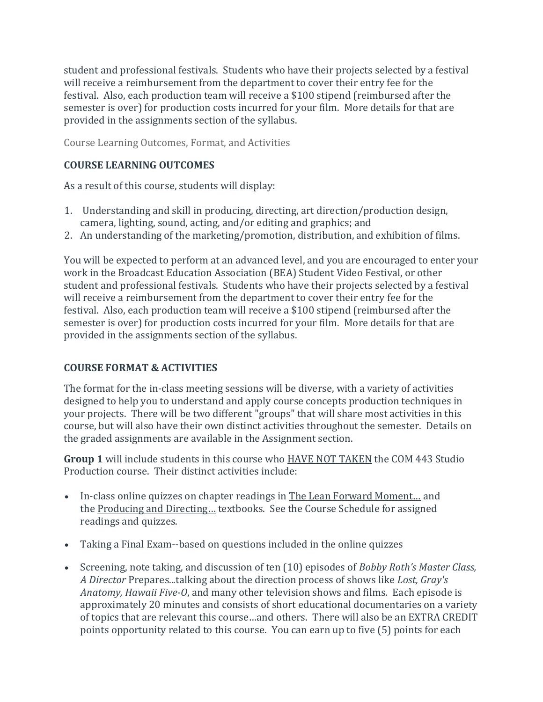student and professional festivals. Students who have their projects selected by a festival will receive a reimbursement from the department to cover their entry fee for the festival. Also, each production team will receive a \$100 stipend (reimbursed after the semester is over) for production costs incurred for your film. More details for that are provided in the assignments section of the syllabus.

Course Learning Outcomes, Format, and Activities

## **COURSE LEARNING OUTCOMES**

As a result of this course, students will display:

- 1. Understanding and skill in producing, directing, art direction/production design, camera, lighting, sound, acting, and/or editing and graphics; and
- 2. An understanding of the marketing/promotion, distribution, and exhibition of films.

You will be expected to perform at an advanced level, and you are encouraged to enter your work in the Broadcast Education Association (BEA) Student Video Festival, or other student and professional festivals. Students who have their projects selected by a festival will receive a reimbursement from the department to cover their entry fee for the festival. Also, each production team will receive a \$100 stipend (reimbursed after the semester is over) for production costs incurred for your film. More details for that are provided in the assignments section of the syllabus.

### **COURSE FORMAT & ACTIVITIES**

The format for the in-class meeting sessions will be diverse, with a variety of activities designed to help you to understand and apply course concepts production techniques in your projects. There will be two different "groups" that will share most activities in this course, but will also have their own distinct activities throughout the semester. Details on the graded assignments are available in the Assignment section.

**Group 1** will include students in this course who HAVE NOT TAKEN the COM 443 Studio Production course. Their distinct activities include:

- In-class online quizzes on chapter readings in The Lean Forward Moment… and the Producing and Directing… textbooks. See the Course Schedule for assigned readings and quizzes.
- Taking a Final Exam--based on questions included in the online quizzes
- Screening, note taking, and discussion of ten (10) episodes of *Bobby Roth's Master Class, A Director* Prepares...talking about the direction process of shows like *Lost, Gray's Anatomy, Hawaii Five-O*, and many other television shows and films.Each episode is approximately 20 minutes and consists of short educational documentaries on a variety of topics that are relevant this course…and others. There will also be an EXTRA CREDIT points opportunity related to this course. You can earn up to five (5) points for each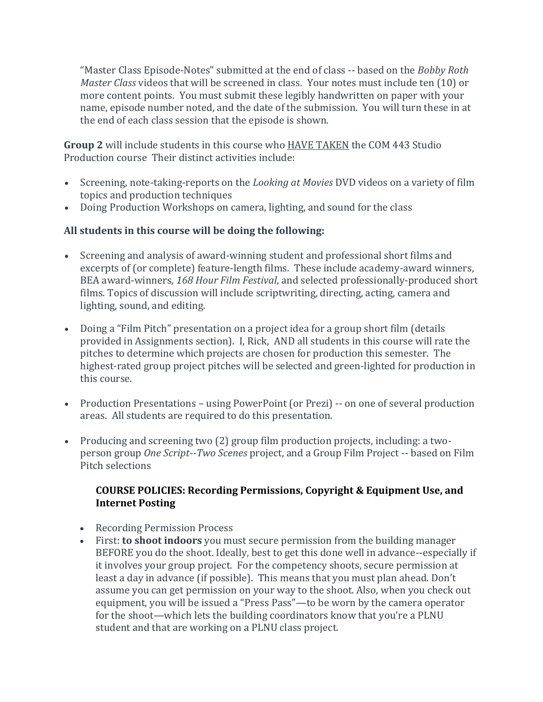"Master Class Episode-Notes" submitted at the end of class -- based on the *Bobby Roth Master Class* videos that will be screened in class. Your notes must include ten (10) or more content points. You must submit these legibly handwritten on paper with your name, episode number noted, and the date of the submission. You will turn these in at the end of each class session that the episode is shown.

**Group 2** will include students in this course who HAVE TAKEN the COM 443 Studio Production course Their distinct activities include:

- Screening, note-taking-reports on the *Looking at Movies* DVD videos on a variety of film topics and production techniques
- Doing Production Workshops on camera, lighting, and sound for the class

### **All students in this course will be doing the following:**

- Screening and analysis of award-winning student and professional short films and excerpts of (or complete) feature-length films. These include academy-award winners, BEA award-winners, *168 Hour Film Festival*, and selected professionally-produced short films. Topics of discussion will include scriptwriting, directing, acting, camera and lighting, sound, and editing.
- Doing a "Film Pitch" presentation on a project idea for a group short film (details provided in Assignments section). I, Rick, AND all students in this course will rate the pitches to determine which projects are chosen for production this semester. The highest-rated group project pitches will be selected and green-lighted for production in this course.
- Production Presentations using PowerPoint (or Prezi) -- on one of several production areas. All students are required to do this presentation.
- Producing and screening two (2) group film production projects, including: a twoperson group *One Script--Two Scenes* project, and a Group Film Project -- based on Film Pitch selections

### **COURSE POLICIES: Recording Permissions, Copyright & Equipment Use, and Internet Posting**

- Recording Permission Process
- First: **to shoot indoors** you must secure permission from the building manager BEFORE you do the shoot. Ideally, best to get this done well in advance--especially if it involves your group project. For the competency shoots, secure permission at least a day in advance (if possible). This means that you must plan ahead. Don't assume you can get permission on your way to the shoot. Also, when you check out equipment, you will be issued a "Press Pass"—to be worn by the camera operator for the shoot—which lets the building coordinators know that you're a PLNU student and that are working on a PLNU class project.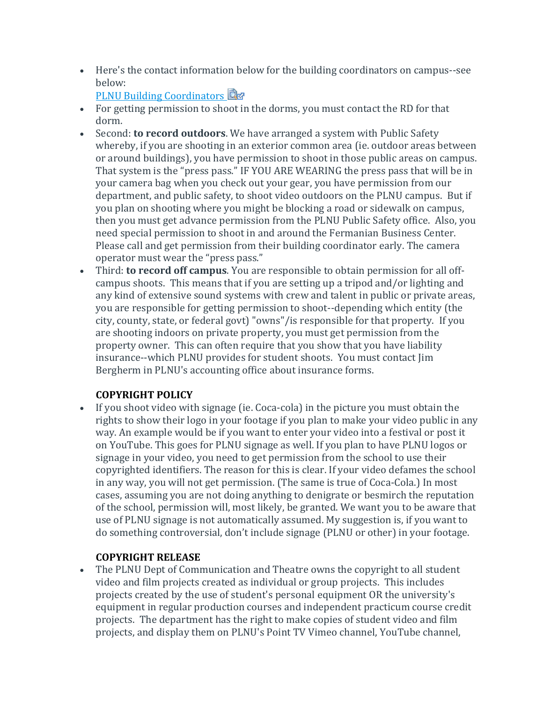Here's the contact information below for the building coordinators on campus--see below:

```
PLNU Building Coordinators
```
- For getting permission to shoot in the dorms, you must contact the RD for that dorm.
- Second: **to record outdoors**. We have arranged a system with Public Safety whereby, if you are shooting in an exterior common area (ie. outdoor areas between or around buildings), you have permission to shoot in those public areas on campus. That system is the "press pass." IF YOU ARE WEARING the press pass that will be in your camera bag when you check out your gear, you have permission from our department, and public safety, to shoot video outdoors on the PLNU campus. But if you plan on shooting where you might be blocking a road or sidewalk on campus, then you must get advance permission from the PLNU Public Safety office. Also, you need special permission to shoot in and around the Fermanian Business Center. Please call and get permission from their building coordinator early. The camera operator must wear the "press pass."
- Third: **to record off campus**. You are responsible to obtain permission for all offcampus shoots. This means that if you are setting up a tripod and/or lighting and any kind of extensive sound systems with crew and talent in public or private areas, you are responsible for getting permission to shoot--depending which entity (the city, county, state, or federal govt) "owns"/is responsible for that property. If you are shooting indoors on private property, you must get permission from the property owner. This can often require that you show that you have liability insurance--which PLNU provides for student shoots. You must contact Jim Bergherm in PLNU's accounting office about insurance forms.

# **COPYRIGHT POLICY**

 If you shoot video with signage (ie. Coca-cola) in the picture you must obtain the rights to show their logo in your footage if you plan to make your video public in any way. An example would be if you want to enter your video into a festival or post it on YouTube. This goes for PLNU signage as well. If you plan to have PLNU logos or signage in your video, you need to get permission from the school to use their copyrighted identifiers. The reason for this is clear. If your video defames the school in any way, you will not get permission. (The same is true of Coca-Cola.) In most cases, assuming you are not doing anything to denigrate or besmirch the reputation of the school, permission will, most likely, be granted. We want you to be aware that use of PLNU signage is not automatically assumed. My suggestion is, if you want to do something controversial, don't include signage (PLNU or other) in your footage.

# **COPYRIGHT RELEASE**

 The PLNU Dept of Communication and Theatre owns the copyright to all student video and film projects created as individual or group projects. This includes projects created by the use of student's personal equipment OR the university's equipment in regular production courses and independent practicum course credit projects. The department has the right to make copies of student video and film projects, and display them on PLNU's Point TV Vimeo channel, YouTube channel,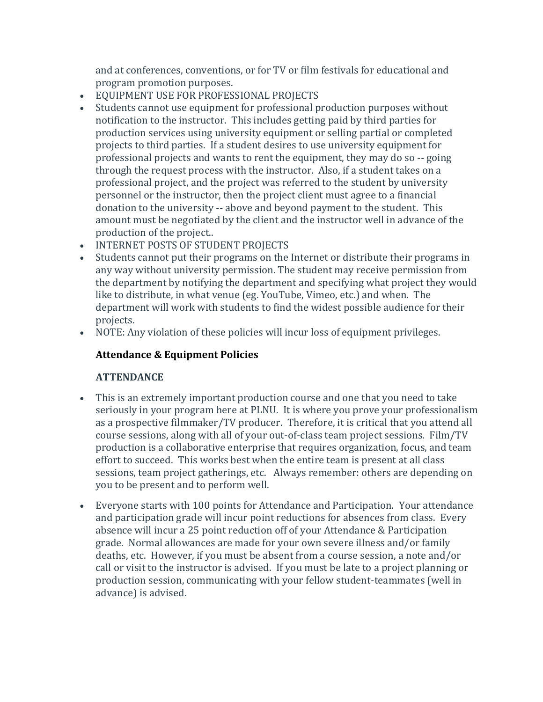and at conferences, conventions, or for TV or film festivals for educational and program promotion purposes.

- EQUIPMENT USE FOR PROFESSIONAL PROJECTS
- Students cannot use equipment for professional production purposes without notification to the instructor. This includes getting paid by third parties for production services using university equipment or selling partial or completed projects to third parties. If a student desires to use university equipment for professional projects and wants to rent the equipment, they may do so -- going through the request process with the instructor. Also, if a student takes on a professional project, and the project was referred to the student by university personnel or the instructor, then the project client must agree to a financial donation to the university -- above and beyond payment to the student. This amount must be negotiated by the client and the instructor well in advance of the production of the project..
- **INTERNET POSTS OF STUDENT PROJECTS**
- Students cannot put their programs on the Internet or distribute their programs in any way without university permission. The student may receive permission from the department by notifying the department and specifying what project they would like to distribute, in what venue (eg. YouTube, Vimeo, etc.) and when. The department will work with students to find the widest possible audience for their projects.
- NOTE: Any violation of these policies will incur loss of equipment privileges.

# **Attendance & Equipment Policies**

### **ATTENDANCE**

- This is an extremely important production course and one that you need to take seriously in your program here at PLNU. It is where you prove your professionalism as a prospective filmmaker/TV producer. Therefore, it is critical that you attend all course sessions, along with all of your out-of-class team project sessions. Film/TV production is a collaborative enterprise that requires organization, focus, and team effort to succeed. This works best when the entire team is present at all class sessions, team project gatherings, etc. Always remember: others are depending on you to be present and to perform well.
- Everyone starts with 100 points for Attendance and Participation. Your attendance and participation grade will incur point reductions for absences from class. Every absence will incur a 25 point reduction off of your Attendance & Participation grade. Normal allowances are made for your own severe illness and/or family deaths, etc. However, if you must be absent from a course session, a note and/or call or visit to the instructor is advised. If you must be late to a project planning or production session, communicating with your fellow student-teammates (well in advance) is advised.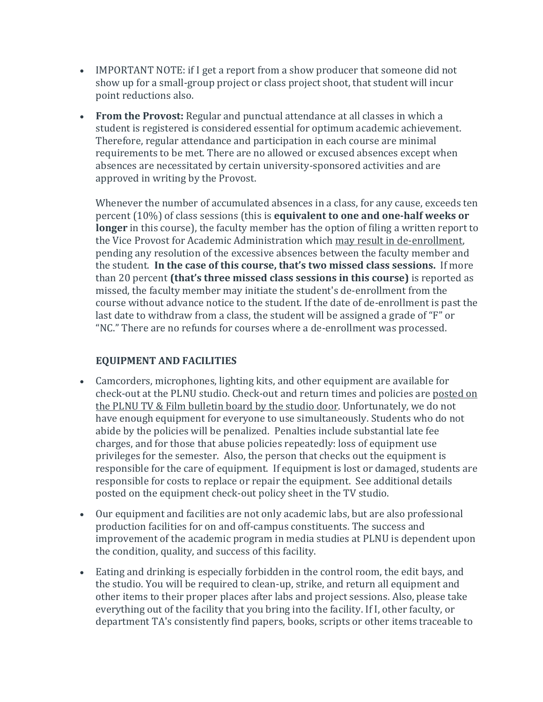- IMPORTANT NOTE: if I get a report from a show producer that someone did not show up for a small-group project or class project shoot, that student will incur point reductions also.
- **From the Provost:** Regular and punctual attendance at all classes in which a student is registered is considered essential for optimum academic achievement. Therefore, regular attendance and participation in each course are minimal requirements to be met. There are no allowed or excused absences except when absences are necessitated by certain university-sponsored activities and are approved in writing by the Provost.

Whenever the number of accumulated absences in a class, for any cause, exceeds ten percent (10%) of class sessions (this is **equivalent to one and one-half weeks or longer** in this course), the faculty member has the option of filing a written report to the Vice Provost for Academic Administration which may result in de-enrollment, pending any resolution of the excessive absences between the faculty member and the student. **In the case of this course, that's two missed class sessions.** If more than 20 percent **(that's three missed class sessions in this course)** is reported as missed, the faculty member may initiate the student's de-enrollment from the course without advance notice to the student. If the date of de-enrollment is past the last date to withdraw from a class, the student will be assigned a grade of "F" or "NC." There are no refunds for courses where a de-enrollment was processed.

### **EQUIPMENT AND FACILITIES**

- Camcorders, microphones, lighting kits, and other equipment are available for check-out at the PLNU studio. Check-out and return times and policies are posted on the PLNU TV & Film bulletin board by the studio door. Unfortunately, we do not have enough equipment for everyone to use simultaneously. Students who do not abide by the policies will be penalized. Penalties include substantial late fee charges, and for those that abuse policies repeatedly: loss of equipment use privileges for the semester. Also, the person that checks out the equipment is responsible for the care of equipment. If equipment is lost or damaged, students are responsible for costs to replace or repair the equipment. See additional details posted on the equipment check-out policy sheet in the TV studio.
- Our equipment and facilities are not only academic labs, but are also professional production facilities for on and off-campus constituents. The success and improvement of the academic program in media studies at PLNU is dependent upon the condition, quality, and success of this facility.
- Eating and drinking is especially forbidden in the control room, the edit bays, and the studio. You will be required to clean-up, strike, and return all equipment and other items to their proper places after labs and project sessions. Also, please take everything out of the facility that you bring into the facility. If I, other faculty, or department TA's consistently find papers, books, scripts or other items traceable to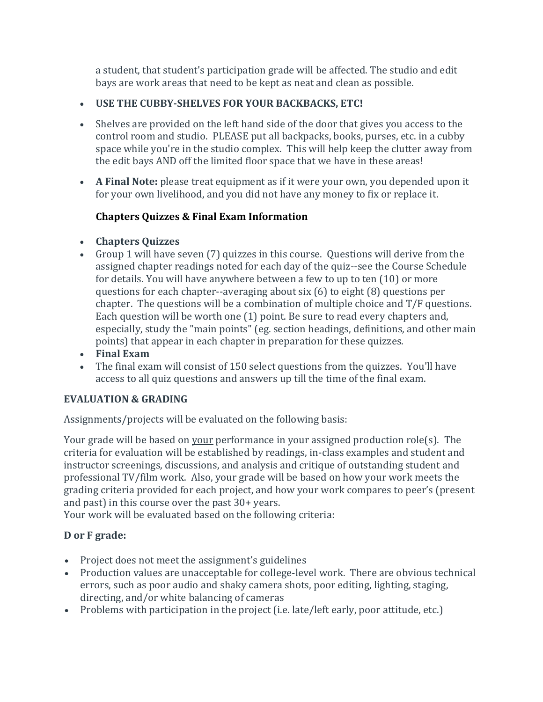a student, that student's participation grade will be affected. The studio and edit bays are work areas that need to be kept as neat and clean as possible.

## **USE THE CUBBY-SHELVES FOR YOUR BACKBACKS, ETC!**

- Shelves are provided on the left hand side of the door that gives you access to the control room and studio. PLEASE put all backpacks, books, purses, etc. in a cubby space while you're in the studio complex. This will help keep the clutter away from the edit bays AND off the limited floor space that we have in these areas!
- **A Final Note:** please treat equipment as if it were your own, you depended upon it for your own livelihood, and you did not have any money to fix or replace it.

# **Chapters Quizzes & Final Exam Information**

- **Chapters Quizzes**
- Group 1 will have seven (7) quizzes in this course. Questions will derive from the assigned chapter readings noted for each day of the quiz--see the Course Schedule for details. You will have anywhere between a few to up to ten (10) or more questions for each chapter--averaging about six (6) to eight (8) questions per chapter. The questions will be a combination of multiple choice and T/F questions. Each question will be worth one (1) point. Be sure to read every chapters and, especially, study the "main points" (eg. section headings, definitions, and other main points) that appear in each chapter in preparation for these quizzes.
- **Final Exam**
- The final exam will consist of 150 select questions from the quizzes. You'll have access to all quiz questions and answers up till the time of the final exam.

### **EVALUATION & GRADING**

Assignments/projects will be evaluated on the following basis:

Your grade will be based on your performance in your assigned production role(s). The criteria for evaluation will be established by readings, in-class examples and student and instructor screenings, discussions, and analysis and critique of outstanding student and professional TV/film work. Also, your grade will be based on how your work meets the grading criteria provided for each project, and how your work compares to peer's (present and past) in this course over the past 30+ years.

Your work will be evaluated based on the following criteria:

# **D or F grade:**

- Project does not meet the assignment's guidelines
- Production values are unacceptable for college-level work. There are obvious technical errors, such as poor audio and shaky camera shots, poor editing, lighting, staging, directing, and/or white balancing of cameras
- Problems with participation in the project (i.e. late/left early, poor attitude, etc.)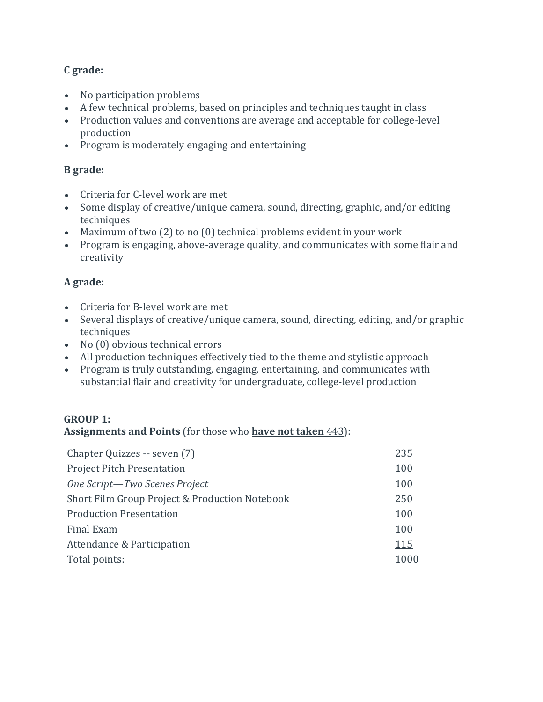# **C grade:**

- No participation problems
- A few technical problems, based on principles and techniques taught in class
- Production values and conventions are average and acceptable for college-level production
- Program is moderately engaging and entertaining

### **B grade:**

- Criteria for C-level work are met
- Some display of creative/unique camera, sound, directing, graphic, and/or editing techniques
- Maximum of two (2) to no (0) technical problems evident in your work
- Program is engaging, above-average quality, and communicates with some flair and creativity

## **A grade:**

- Criteria for B-level work are met
- Several displays of creative/unique camera, sound, directing, editing, and/or graphic techniques
- No (0) obvious technical errors
- All production techniques effectively tied to the theme and stylistic approach
- Program is truly outstanding, engaging, entertaining, and communicates with substantial flair and creativity for undergraduate, college-level production

### **GROUP 1:**

**Assignments and Points** (for those who **have not taken** 443):

| Chapter Quizzes -- seven (7)                   | 235         |
|------------------------------------------------|-------------|
| <b>Project Pitch Presentation</b>              | 100         |
| One Script-Two Scenes Project                  | 100         |
| Short Film Group Project & Production Notebook | 250         |
| <b>Production Presentation</b>                 | 100         |
| Final Exam                                     | 100         |
| Attendance & Participation                     | <u> 115</u> |
| Total points:                                  | 1000        |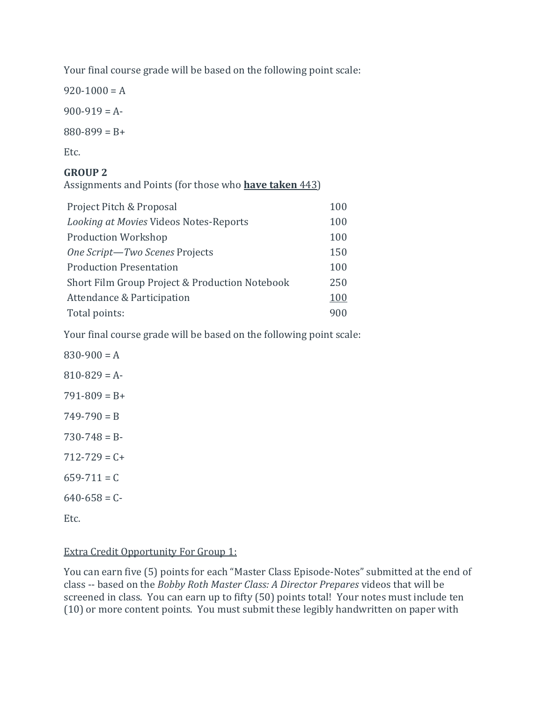Your final course grade will be based on the following point scale:

 $920-1000 = A$ 

 $900-919 = A$ 

 $880 - 899 = B +$ 

Etc.

## **GROUP 2**

Assignments and Points (for those who **have taken** 443)

| Project Pitch & Proposal                       | 100 |
|------------------------------------------------|-----|
| Looking at Movies Videos Notes-Reports         | 100 |
| <b>Production Workshop</b>                     | 100 |
| One Script-Two Scenes Projects                 | 150 |
| <b>Production Presentation</b>                 | 100 |
| Short Film Group Project & Production Notebook | 250 |
| Attendance & Participation                     | 100 |
| Total points:                                  | 900 |

Your final course grade will be based on the following point scale:

 $830-900 = A$  $810 - 829 = A$  $791-809 = B +$  $749 - 790 = B$  $730 - 748 = B$  $712 - 729 = C +$  $659 - 711 = C$  $640-658 = C$ Etc.

### Extra Credit Opportunity For Group 1:

You can earn five (5) points for each "Master Class Episode-Notes" submitted at the end of class -- based on the *Bobby Roth Master Class: A Director Prepares* videos that will be screened in class. You can earn up to fifty (50) points total! Your notes must include ten (10) or more content points. You must submit these legibly handwritten on paper with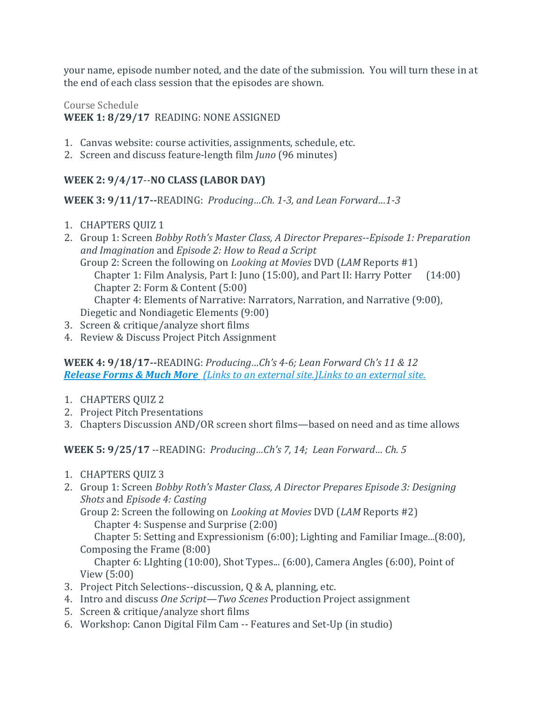your name, episode number noted, and the date of the submission. You will turn these in at the end of each class session that the episodes are shown.

### Course Schedule **WEEK 1: 8/29/17** READING: NONE ASSIGNED

- 1. Canvas website: course activities, assignments, schedule, etc.
- 2. Screen and discuss feature-length film *Juno* (96 minutes)

# **WEEK 2: 9/4/17**--**NO CLASS (LABOR DAY)**

**WEEK 3: 9/11/17--**READING: *Producing…Ch. 1-3, and Lean Forward…1-3*

- 1. CHAPTERS QUIZ 1
- 2. Group 1: Screen *Bobby Roth's Master Class, A Director Prepares--Episode 1: Preparation and Imagination* and *Episode 2: How to Read a Script*
	- Group 2: Screen the following on *Looking at Movies* DVD (*LAM* Reports #1) Chapter 1: Film Analysis, Part I: Juno (15:00), and Part II: Harry Potter (14:00) Chapter 2: Form & Content (5:00) Chapter 4: Elements of Narrative: Narrators, Narration, and Narrative (9:00), Diegetic and Nondiagetic Elements (9:00)
- 3. Screen & critique/analyze short films
- 4. Review & Discuss Project Pitch Assignment

**WEEK 4: 9/18/17--**READING: *Producing…Ch's 4-6; Lean Forward Ch's 11 & 12 [Release Forms & Much More](http://www.joenasrapp.com/prepropost) (Links to an external site.)Links to an external site.*

- 1. CHAPTERS QUIZ 2
- 2. Project Pitch Presentations
- 3. Chapters Discussion AND/OR screen short films—based on need and as time allows

**WEEK 5: 9/25/17** --READING: *Producing…Ch's 7, 14; Lean Forward… Ch. 5*

- 1. CHAPTERS QUIZ 3
- 2. Group 1: Screen *Bobby Roth's Master Class, A Director Prepares Episode 3: Designing Shots* and *Episode 4: Casting*

Group 2: Screen the following on *Looking at Movies* DVD (*LAM* Reports #2) Chapter 4: Suspense and Surprise (2:00)

Chapter 5: Setting and Expressionism (6:00); Lighting and Familiar Image...(8:00), Composing the Frame (8:00)

Chapter 6: LIghting (10:00), Shot Types... (6:00), Camera Angles (6:00), Point of View (5:00)

- 3. Project Pitch Selections--discussion, Q & A, planning, etc.
- 4. Intro and discuss *One Script—Two Scenes* Production Project assignment
- 5. Screen & critique/analyze short films
- 6. Workshop: Canon Digital Film Cam -- Features and Set-Up (in studio)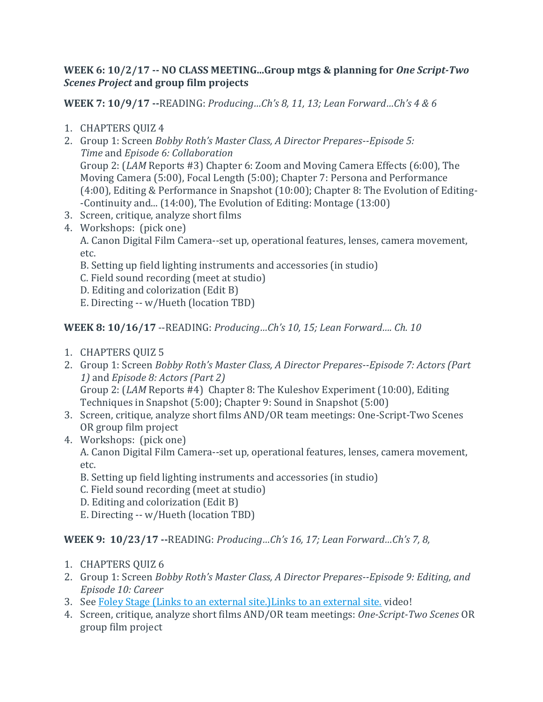### **WEEK 6: 10/2/17 -- NO CLASS MEETING...Group mtgs & planning for** *One Script-Two Scenes Project* **and group film projects**

**WEEK 7: 10/9/17 --**READING: *Producing…Ch's 8, 11, 13; Lean Forward…Ch's 4 & 6*

- 1. CHAPTERS QUIZ 4
- 2. Group 1: Screen *Bobby Roth's Master Class, A Director Prepares--Episode 5: Time* and *Episode 6: Collaboration* Group 2: (*LAM* Reports #3) Chapter 6: Zoom and Moving Camera Effects (6:00), The Moving Camera (5:00), Focal Length (5:00); Chapter 7: Persona and Performance (4:00), Editing & Performance in Snapshot (10:00); Chapter 8: The Evolution of Editing- -Continuity and... (14:00), The Evolution of Editing: Montage (13:00)
- 3. Screen, critique, analyze short films
- 4. Workshops: (pick one)

A. Canon Digital Film Camera--set up, operational features, lenses, camera movement, etc.

B. Setting up field lighting instruments and accessories (in studio)

- C. Field sound recording (meet at studio)
- D. Editing and colorization (Edit B)

E. Directing -- w/Hueth (location TBD)

**WEEK 8: 10/16/17** --READING: *Producing…Ch's 10, 15; Lean Forward…. Ch. 10*

- 1. CHAPTERS QUIZ 5
- 2. Group 1: Screen *Bobby Roth's Master Class, A Director Prepares--Episode 7: Actors (Part 1)* and *Episode 8: Actors (Part 2)*

Group 2: (*LAM* Reports #4) Chapter 8: The Kuleshov Experiment (10:00), Editing Techniques in Snapshot (5:00); Chapter 9: Sound in Snapshot (5:00)

- 3. Screen, critique, analyze short films AND/OR team meetings: One-Script-Two Scenes OR group film project
- 4. Workshops: (pick one)

A. Canon Digital Film Camera--set up, operational features, lenses, camera movement, etc.

- B. Setting up field lighting instruments and accessories (in studio)
- C. Field sound recording (meet at studio)
- D. Editing and colorization (Edit B)
- E. Directing -- w/Hueth (location TBD)

**WEEK 9: 10/23/17 --**READING: *Producing…Ch's 16, 17; Lean Forward…Ch's 7, 8,*

- 1. CHAPTERS QUIZ 6
- 2. Group 1: Screen *Bobby Roth's Master Class, A Director Prepares--Episode 9: Editing, and Episode 10: Career*
- 3. See [Foley Stage](https://www.facebook.com/MVOD.TV/videos/10154414284057807/) (Links to an external site.)Links to an external site. video!
- 4. Screen, critique, analyze short films AND/OR team meetings: *One-Script-Two Scenes* OR group film project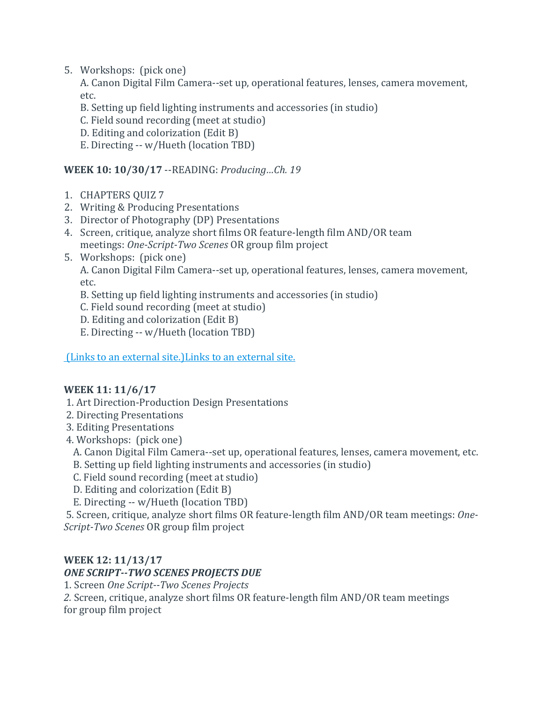5. Workshops: (pick one)

A. Canon Digital Film Camera--set up, operational features, lenses, camera movement, etc.

- B. Setting up field lighting instruments and accessories (in studio)
- C. Field sound recording (meet at studio)
- D. Editing and colorization (Edit B)
- E. Directing -- w/Hueth (location TBD)

### **WEEK 10: 10/30/17** --READING: *Producing…Ch. 19*

- 1. CHAPTERS QUIZ 7
- 2. Writing & Producing Presentations
- 3. Director of Photography (DP) Presentations
- 4. Screen, critique, analyze short films OR feature-length film AND/OR team meetings: *One-Script-Two Scenes* OR group film project
- 5. Workshops: (pick one)

A. Canon Digital Film Camera--set up, operational features, lenses, camera movement, etc.

B. Setting up field lighting instruments and accessories (in studio)

- C. Field sound recording (meet at studio)
- D. Editing and colorization (Edit B)
- E. Directing -- w/Hueth (location TBD)

(Links to an external [site.\)Links](http://kenlevine.blogspot.com/2014/03/directing-sitcoms.html) to an external site.

#### **WEEK 11: 11/6/17**

- 1. Art Direction-Production Design Presentations
- 2. Directing Presentations
- 3. Editing Presentations
- 4. Workshops: (pick one)
	- A. Canon Digital Film Camera--set up, operational features, lenses, camera movement, etc.
	- B. Setting up field lighting instruments and accessories (in studio)
	- C. Field sound recording (meet at studio)
	- D. Editing and colorization (Edit B)
	- E. Directing -- w/Hueth (location TBD)

5. Screen, critique, analyze short films OR feature-length film AND/OR team meetings: *One-Script-Two Scenes* OR group film project

### **WEEK 12: 11/13/17**

### *ONE SCRIPT--TWO SCENES PROJECTS DUE*

1. Screen *One Script--Two Scenes Projects*

*2.* Screen, critique, analyze short films OR feature-length film AND/OR team meetings for group film project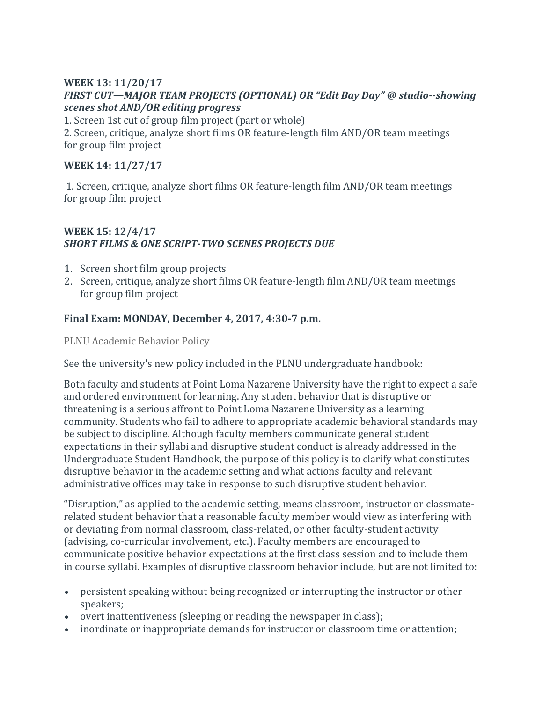#### **WEEK 13: 11/20/17** *FIRST CUT—MAJOR TEAM PROJECTS (OPTIONAL) OR "Edit Bay Day" @ studio--showing scenes shot AND/OR editing progress*

1. Screen 1st cut of group film project (part or whole)

2. Screen, critique, analyze short films OR feature-length film AND/OR team meetings for group film project

### **WEEK 14: 11/27/17**

1. Screen, critique, analyze short films OR feature-length film AND/OR team meetings for group film project

#### **WEEK 15: 12/4/17** *SHORT FILMS & ONE SCRIPT-TWO SCENES PROJECTS DUE*

- 1. Screen short film group projects
- 2. Screen, critique, analyze short films OR feature-length film AND/OR team meetings for group film project

### **Final Exam: MONDAY, December 4, 2017, 4:30-7 p.m.**

PLNU Academic Behavior Policy

See the university's new policy included in the PLNU undergraduate handbook:

Both faculty and students at Point Loma Nazarene University have the right to expect a safe and ordered environment for learning. Any student behavior that is disruptive or threatening is a serious affront to Point Loma Nazarene University as a learning community. Students who fail to adhere to appropriate academic behavioral standards may be subject to discipline. Although faculty members communicate general student expectations in their syllabi and disruptive student conduct is already addressed in the Undergraduate Student Handbook, the purpose of this policy is to clarify what constitutes disruptive behavior in the academic setting and what actions faculty and relevant administrative offices may take in response to such disruptive student behavior.

"Disruption," as applied to the academic setting, means classroom, instructor or classmaterelated student behavior that a reasonable faculty member would view as interfering with or deviating from normal classroom, class-related, or other faculty-student activity (advising, co-curricular involvement, etc.). Faculty members are encouraged to communicate positive behavior expectations at the first class session and to include them in course syllabi. Examples of disruptive classroom behavior include, but are not limited to:

- persistent speaking without being recognized or interrupting the instructor or other speakers;
- overt inattentiveness (sleeping or reading the newspaper in class);
- inordinate or inappropriate demands for instructor or classroom time or attention;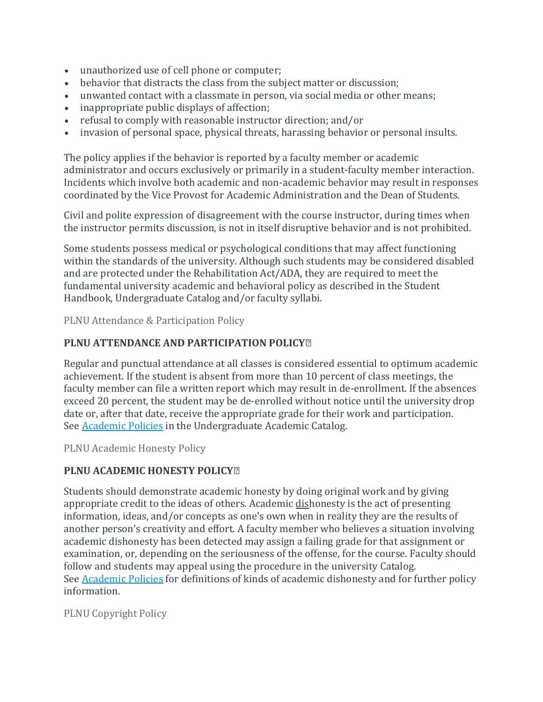- unauthorized use of cell phone or computer;
- behavior that distracts the class from the subject matter or discussion;
- unwanted contact with a classmate in person, via social media or other means;
- inappropriate public displays of affection;
- refusal to comply with reasonable instructor direction; and/or
- invasion of personal space, physical threats, harassing behavior or personal insults.

The policy applies if the behavior is reported by a faculty member or academic administrator and occurs exclusively or primarily in a student-faculty member interaction. Incidents which involve both academic and non-academic behavior may result in responses coordinated by the Vice Provost for Academic Administration and the Dean of Students.

Civil and polite expression of disagreement with the course instructor, during times when the instructor permits discussion, is not in itself disruptive behavior and is not prohibited.

Some students possess medical or psychological conditions that may affect functioning within the standards of the university. Although such students may be considered disabled and are protected under the Rehabilitation Act/ADA, they are required to meet the fundamental university academic and behavioral policy as described in the Student Handbook, Undergraduate Catalog and/or faculty syllabi.

PLNU Attendance & Participation Policy

### **PLNU ATTENDANCE AND PARTICIPATION POLICY⍟**

Regular and punctual attendance at all classes is considered essential to optimum academic achievement. If the student is absent from more than 10 percent of class meetings, the faculty member can file a written report which may result in de-enrollment. If the absences exceed 20 percent, the student may be de-enrolled without notice until the university drop date or, after that date, receive the appropriate grade for their work and participation. See [Academic Policies](http://catalog.pointloma.edu/content.php?catoid=18&navoid=1278) in the Undergraduate Academic Catalog.

PLNU Academic Honesty Policy

#### **PLNU ACADEMIC HONESTY POLICY⍟**

Students should demonstrate academic honesty by doing original work and by giving appropriate credit to the ideas of others. Academic dishonesty is the act of presenting information, ideas, and/or concepts as one's own when in reality they are the results of another person's creativity and effort. A faculty member who believes a situation involving academic dishonesty has been detected may assign a failing grade for that assignment or examination, or, depending on the seriousness of the offense, for the course. Faculty should follow and students may appeal using the procedure in the university Catalog. See **[Academic Policies](http://catalog.pointloma.edu/content.php?catoid=18&navoid=1278)** for definitions of kinds of academic dishonesty and for further policy information.

PLNU Copyright Policy